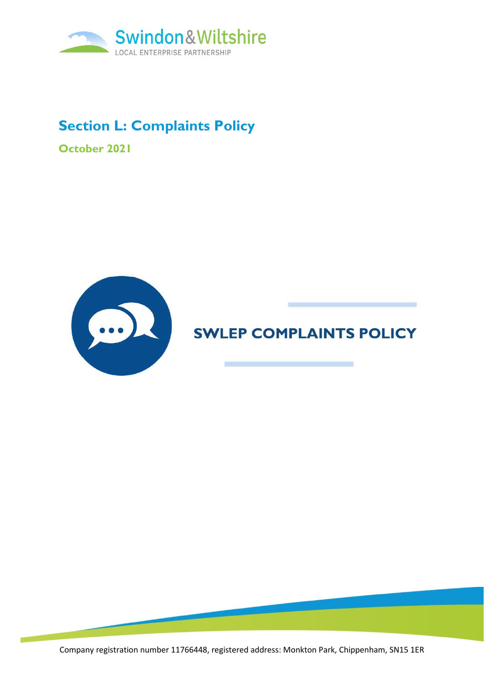

### **Section L: Complaints Policy**

**October 2021**



# **SWLEP COMPLAINTS POLICY**

Company registration number 11766448, registered address: Monkton Park, Chippenham, SN15 1ER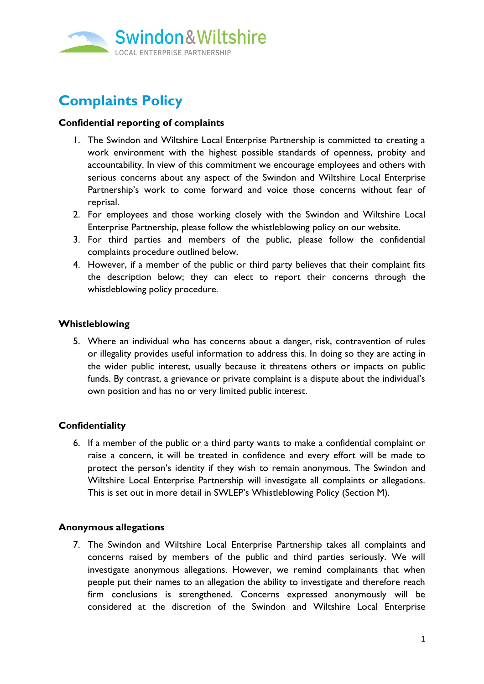

## **Complaints Policy**

#### **Confidential reporting of complaints**

- 1. The Swindon and Wiltshire Local Enterprise Partnership is committed to creating a work environment with the highest possible standards of openness, probity and accountability. In view of this commitment we encourage employees and others with serious concerns about any aspect of the Swindon and Wiltshire Local Enterprise Partnership's work to come forward and voice those concerns without fear of reprisal.
- 2. For employees and those working closely with the Swindon and Wiltshire Local Enterprise Partnership, please follow the whistleblowing policy on our website.
- 3. For third parties and members of the public, please follow the confidential complaints procedure outlined below.
- 4. However, if a member of the public or third party believes that their complaint fits the description below; they can elect to report their concerns through the whistleblowing policy procedure.

#### **Whistleblowing**

5. Where an individual who has concerns about a danger, risk, contravention of rules or illegality provides useful information to address this. In doing so they are acting in the wider public interest, usually because it threatens others or impacts on public funds. By contrast, a grievance or private complaint is a dispute about the individual's own position and has no or very limited public interest.

#### **Confidentiality**

6. If a member of the public or a third party wants to make a confidential complaint or raise a concern, it will be treated in confidence and every effort will be made to protect the person's identity if they wish to remain anonymous. The Swindon and Wiltshire Local Enterprise Partnership will investigate all complaints or allegations. This is set out in more detail in SWLEP's Whistleblowing Policy (Section M).

#### **Anonymous allegations**

7. The Swindon and Wiltshire Local Enterprise Partnership takes all complaints and concerns raised by members of the public and third parties seriously. We will investigate anonymous allegations. However, we remind complainants that when people put their names to an allegation the ability to investigate and therefore reach firm conclusions is strengthened. Concerns expressed anonymously will be considered at the discretion of the Swindon and Wiltshire Local Enterprise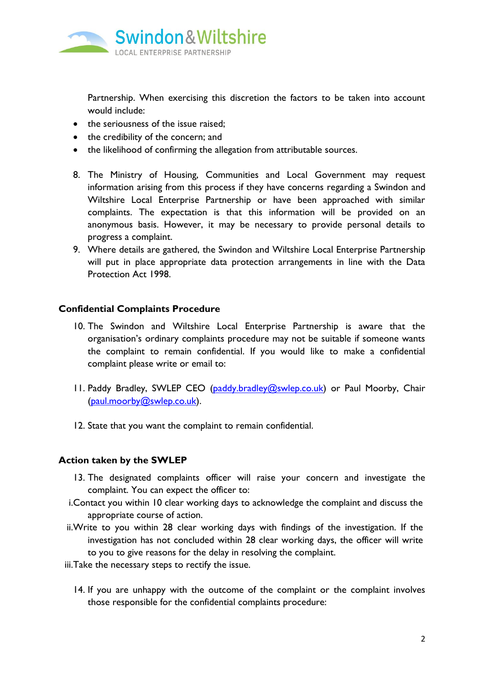

Partnership. When exercising this discretion the factors to be taken into account would include:

- the seriousness of the issue raised:
- the credibility of the concern; and
- the likelihood of confirming the allegation from attributable sources.
- 8. The Ministry of Housing, Communities and Local Government may request information arising from this process if they have concerns regarding a Swindon and Wiltshire Local Enterprise Partnership or have been approached with similar complaints. The expectation is that this information will be provided on an anonymous basis. However, it may be necessary to provide personal details to progress a complaint.
- 9. Where details are gathered, the Swindon and Wiltshire Local Enterprise Partnership will put in place appropriate data protection arrangements in line with the Data Protection Act 1998.

#### **Confidential Complaints Procedure**

- 10. The Swindon and Wiltshire Local Enterprise Partnership is aware that the organisation's ordinary complaints procedure may not be suitable if someone wants the complaint to remain confidential. If you would like to make a confidential complaint please write or email to:
- 11. Paddy Bradley, SWLEP CEO [\(paddy.bradley@swlep.co.uk\)](mailto:paddy.bradley@swlep.co.uk) or Paul Moorby, Chair [\(paul.moorby@swlep.co.uk\)](mailto:paul.moorby@swlep.co.uk).
- 12. State that you want the complaint to remain confidential.

#### **Action taken by the SWLEP**

- 13. The designated complaints officer will raise your concern and investigate the complaint. You can expect the officer to:
- i.Contact you within 10 clear working days to acknowledge the complaint and discuss the appropriate course of action.
- ii.Write to you within 28 clear working days with findings of the investigation. If the investigation has not concluded within 28 clear working days, the officer will write to you to give reasons for the delay in resolving the complaint.
- iii.Take the necessary steps to rectify the issue.
	- 14. If you are unhappy with the outcome of the complaint or the complaint involves those responsible for the confidential complaints procedure: